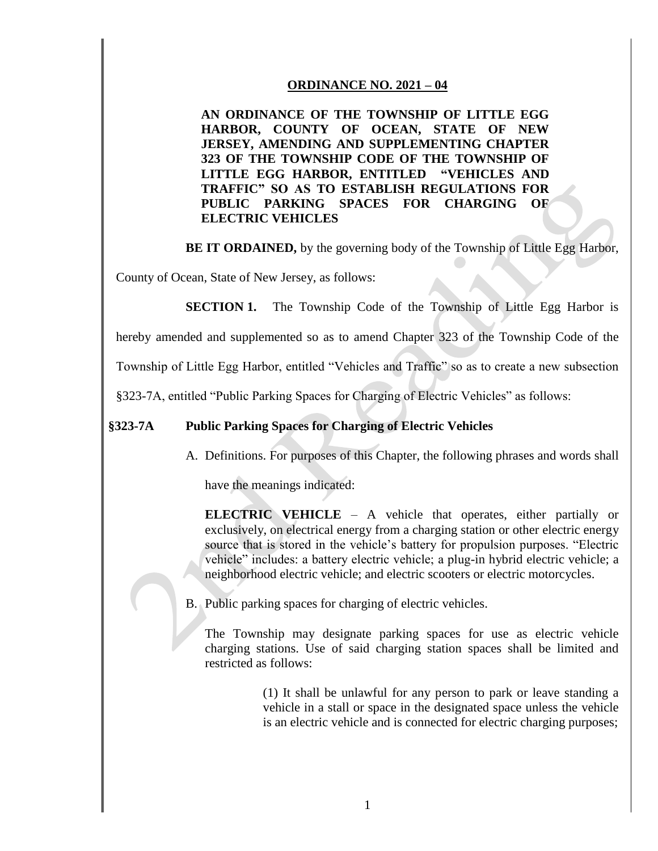## **ORDINANCE NO. 2021 – 04**

**AN ORDINANCE OF THE TOWNSHIP OF LITTLE EGG HARBOR, COUNTY OF OCEAN, STATE OF NEW JERSEY, AMENDING AND SUPPLEMENTING CHAPTER 323 OF THE TOWNSHIP CODE OF THE TOWNSHIP OF LITTLE EGG HARBOR, ENTITLED "VEHICLES AND TRAFFIC" SO AS TO ESTABLISH REGULATIONS FOR PUBLIC PARKING SPACES FOR CHARGING OF ELECTRIC VEHICLES** 

**BE IT ORDAINED,** by the governing body of the Township of Little Egg Harbor,

County of Ocean, State of New Jersey, as follows:

**SECTION 1.** The Township Code of the Township of Little Egg Harbor is

hereby amended and supplemented so as to amend Chapter 323 of the Township Code of the

Township of Little Egg Harbor, entitled "Vehicles and Traffic" so as to create a new subsection

§323-7A, entitled "Public Parking Spaces for Charging of Electric Vehicles" as follows:

## **§323-7A Public Parking Spaces for Charging of Electric Vehicles**

A. Definitions. For purposes of this Chapter, the following phrases and words shall

have the meanings indicated:

**ELECTRIC VEHICLE** – A vehicle that operates, either partially or exclusively, on electrical energy from a charging station or other electric energy source that is stored in the vehicle's battery for propulsion purposes. "Electric vehicle" includes: a battery electric vehicle; a plug-in hybrid electric vehicle; a neighborhood electric vehicle; and electric scooters or electric motorcycles.

B. Public parking spaces for charging of electric vehicles.

The Township may designate parking spaces for use as electric vehicle charging stations. Use of said charging station spaces shall be limited and restricted as follows:

> (1) It shall be unlawful for any person to park or leave standing a vehicle in a stall or space in the designated space unless the vehicle is an electric vehicle and is connected for electric charging purposes;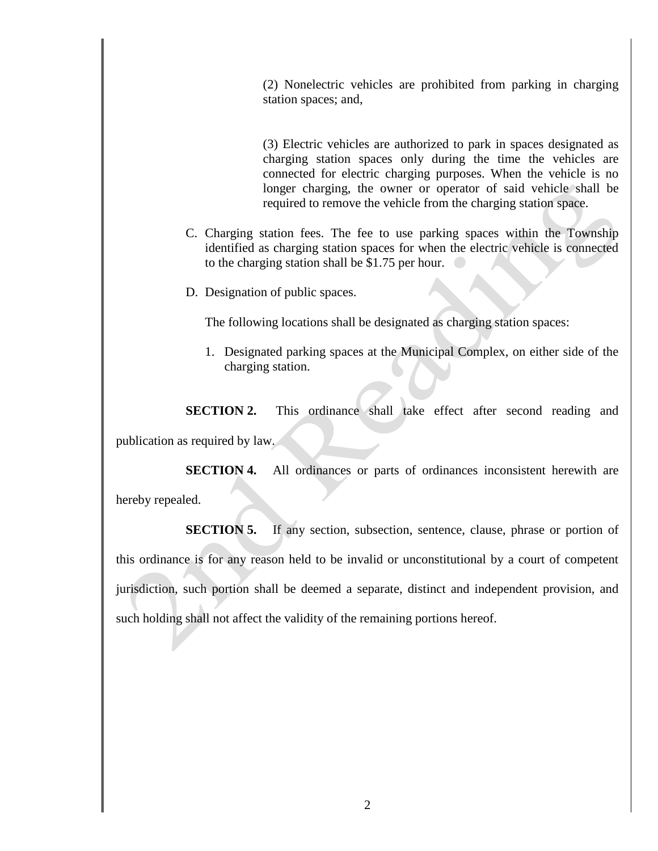(2) Nonelectric vehicles are prohibited from parking in charging station spaces; and,

(3) Electric vehicles are authorized to park in spaces designated as charging station spaces only during the time the vehicles are connected for electric charging purposes. When the vehicle is no longer charging, the owner or operator of said vehicle shall be required to remove the vehicle from the charging station space.

- C. Charging station fees. The fee to use parking spaces within the Township identified as charging station spaces for when the electric vehicle is connected to the charging station shall be \$1.75 per hour.
- D. Designation of public spaces.

The following locations shall be designated as charging station spaces:

1. Designated parking spaces at the Municipal Complex, on either side of the charging station.

**SECTION 2.** This ordinance shall take effect after second reading and publication as required by law.

**SECTION 4.** All ordinances or parts of ordinances inconsistent herewith are hereby repealed.

**SECTION 5.** If any section, subsection, sentence, clause, phrase or portion of this ordinance is for any reason held to be invalid or unconstitutional by a court of competent jurisdiction, such portion shall be deemed a separate, distinct and independent provision, and such holding shall not affect the validity of the remaining portions hereof.